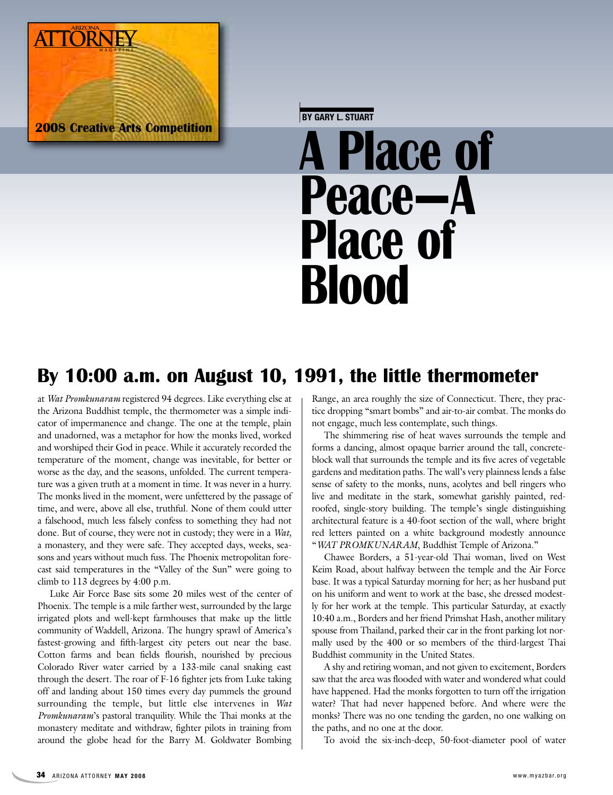

**BY GARY L. STUART**

# **A Place of Peace—A Place of Blood**

## **By 10:00 a.m. on August 10, 1991, the little thermometer**

at *Wat Promkunaram* registered 94 degrees. Like everything else at the Arizona Buddhist temple, the thermometer was a simple indicator of impermanence and change. The one at the temple, plain and unadorned, was a metaphor for how the monks lived, worked and worshiped their God in peace. While it accurately recorded the temperature of the moment, change was inevitable, for better or worse as the day, and the seasons, unfolded. The current temperature was a given truth at a moment in time. It was never in a hurry. The monks lived in the moment, were unfettered by the passage of time, and were, above all else, truthful. None of them could utter a falsehood, much less falsely confess to something they had not done. But of course, they were not in custody; they were in a *Wat,* a monastery, and they were safe. They accepted days, weeks, seasons and years without much fuss. The Phoenix metropolitan forecast said temperatures in the "Valley of the Sun" were going to climb to 113 degrees by 4:00 p.m.

Luke Air Force Base sits some 20 miles west of the center of Phoenix. The temple is a mile farther west, surrounded by the large irrigated plots and well-kept farmhouses that make up the little community of Waddell, Arizona. The hungry sprawl of America's fastest-growing and fifth-largest city peters out near the base. Cotton farms and bean fields flourish, nourished by precious Colorado River water carried by a 133-mile canal snaking east through the desert. The roar of F-16 fighter jets from Luke taking off and landing about 150 times every day pummels the ground surrounding the temple, but little else intervenes in *Wat Promkunaram*'s pastoral tranquility. While the Thai monks at the monastery meditate and withdraw, fighter pilots in training from around the globe head for the Barry M. Goldwater Bombing Range, an area roughly the size of Connecticut. There, they practice dropping "smart bombs" and air-to-air combat. The monks do not engage, much less contemplate, such things.

The shimmering rise of heat waves surrounds the temple and forms a dancing, almost opaque barrier around the tall, concreteblock wall that surrounds the temple and its five acres of vegetable gardens and meditation paths. The wall's very plainness lends a false sense of safety to the monks, nuns, acolytes and bell ringers who live and meditate in the stark, somewhat garishly painted, redroofed, single-story building. The temple's single distinguishing architectural feature is a 40-foot section of the wall, where bright red letters painted on a white background modestly announce "*WAT PROMKUNARAM*, Buddhist Temple of Arizona."

Chawee Borders, a 51-year-old Thai woman, lived on West Keim Road, about halfway between the temple and the Air Force base. It was a typical Saturday morning for her; as her husband put on his uniform and went to work at the base, she dressed modestly for her work at the temple. This particular Saturday, at exactly 10:40 a.m., Borders and her friend Primshat Hash, another military spouse from Thailand, parked their car in the front parking lot normally used by the 400 or so members of the third-largest Thai Buddhist community in the United States.

A shy and retiring woman, and not given to excitement, Borders saw that the area was flooded with water and wondered what could have happened. Had the monks forgotten to turn off the irrigation water? That had never happened before. And where were the monks? There was no one tending the garden, no one walking on the paths, and no one at the door.

To avoid the six-inch-deep, 50-foot-diameter pool of water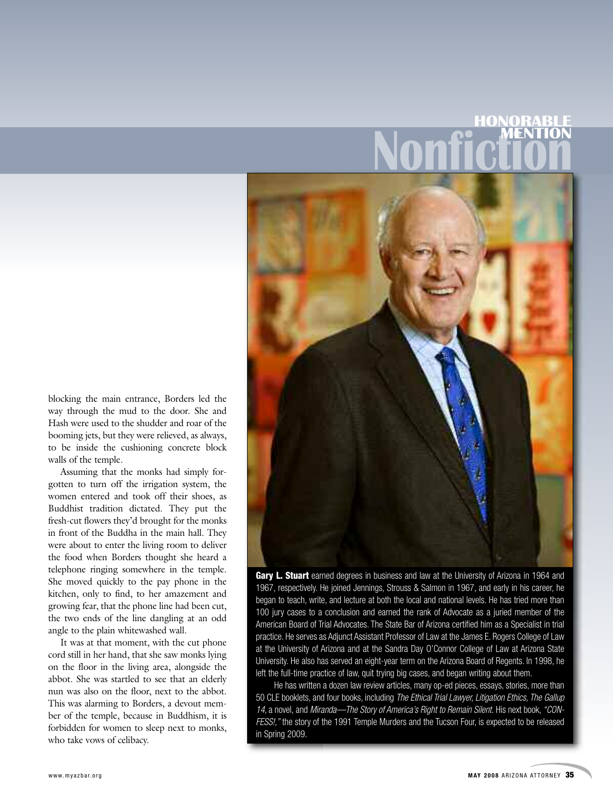# **HONORABLE MENTION**



blocking the main entrance, Borders led the way through the mud to the door. She and Hash were used to the shudder and roar of the booming jets, but they were relieved, as always, to be inside the cushioning concrete block walls of the temple.

Assuming that the monks had simply forgotten to turn off the irrigation system, the women entered and took off their shoes, as Buddhist tradition dictated. They put the fresh-cut flowers they'd brought for the monks in front of the Buddha in the main hall. They were about to enter the living room to deliver the food when Borders thought she heard a telephone ringing somewhere in the temple. She moved quickly to the pay phone in the kitchen, only to find, to her amazement and growing fear, that the phone line had been cut, the two ends of the line dangling at an odd angle to the plain whitewashed wall.

It was at that moment, with the cut phone cord still in her hand, that she saw monks lying on the floor in the living area, alongside the abbot. She was startled to see that an elderly nun was also on the floor, next to the abbot. This was alarming to Borders, a devout member of the temple, because in Buddhism, it is forbidden for women to sleep next to monks, who take vows of celibacy.

**Gary L. Stuart** earned degrees in business and law at the University of Arizona in 1964 and 1967, respectively. He joined Jennings, Strouss & Salmon in 1967, and early in his career, he began to teach, write, and lecture at both the local and national levels. He has tried more than 100 jury cases to a conclusion and earned the rank of Advocate as a juried member of the American Board of Trial Advocates. The State Bar of Arizona certified him as a Specialist in trial practice. He serves as Adjunct Assistant Professor of Law at the James E. Rogers College of Law at the University of Arizona and at the Sandra Day O'Connor College of Law at Arizona State University. He also has served an eight-year term on the Arizona Board of Regents. In 1998, he left the full-time practice of law, quit trying big cases, and began writing about them.

He has written a dozen law review articles, many op-ed pieces, essays, stories, more than 50 CLE booklets, and four books, including *The Ethical Trial Lawyer, Litigation Ethics, The Gallup 14,* a novel, and *Miranda—The Story of America's Right to Remain Silent.* His next book, *"CON-FESS!,"* the story of the 1991 Temple Murders and the Tucson Four, is expected to be released in Spring 2009.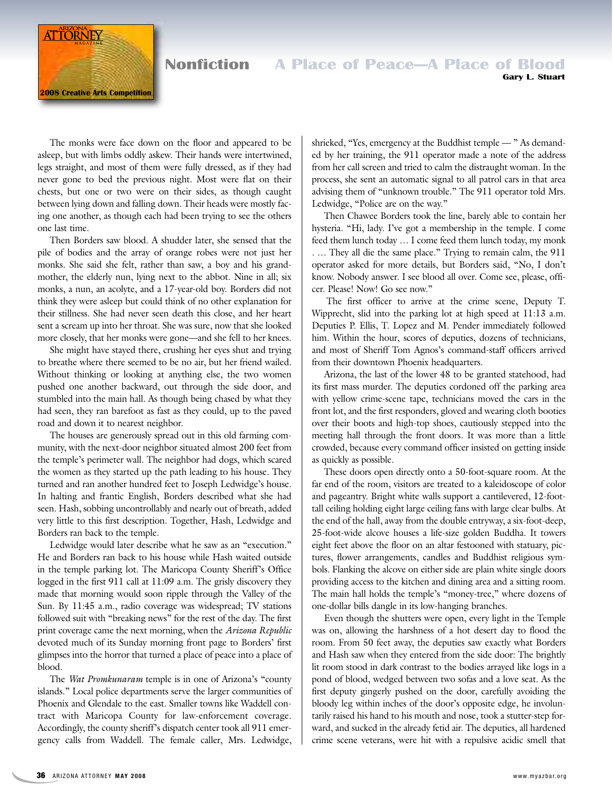

#### **Nonfiction A Place of Peace-A Place of Blood Gary L. Stuart**

The monks were face down on the floor and appeared to be asleep, but with limbs oddly askew. Their hands were intertwined, legs straight, and most of them were fully dressed, as if they had never gone to bed the previous night. Most were flat on their chests, but one or two were on their sides, as though caught between lying down and falling down. Their heads were mostly facing one another, as though each had been trying to see the others one last time.

Then Borders saw blood. A shudder later, she sensed that the pile of bodies and the array of orange robes were not just her monks. She said she felt, rather than saw, a boy and his grandmother, the elderly nun, lying next to the abbot. Nine in all; six monks, a nun, an acolyte, and a 17-year-old boy. Borders did not think they were asleep but could think of no other explanation for their stillness. She had never seen death this close, and her heart sent a scream up into her throat. She was sure, now that she looked more closely, that her monks were gone—and she fell to her knees.

She might have stayed there, crushing her eyes shut and trying to breathe where there seemed to be no air, but her friend wailed. Without thinking or looking at anything else, the two women pushed one another backward, out through the side door, and stumbled into the main hall. As though being chased by what they had seen, they ran barefoot as fast as they could, up to the paved road and down it to nearest neighbor.

The houses are generously spread out in this old farming community, with the next-door neighbor situated almost 200 feet from the temple's perimeter wall. The neighbor had dogs, which scared the women as they started up the path leading to his house. They turned and ran another hundred feet to Joseph Ledwidge's house. In halting and frantic English, Borders described what she had seen. Hash, sobbing uncontrollably and nearly out of breath, added very little to this first description. Together, Hash, Ledwidge and Borders ran back to the temple.

Ledwidge would later describe what he saw as an "execution." He and Borders ran back to his house while Hash waited outside in the temple parking lot. The Maricopa County Sheriff's Office logged in the first 911 call at 11:09 a.m. The grisly discovery they made that morning would soon ripple through the Valley of the Sun. By 11:45 a.m., radio coverage was widespread; TV stations followed suit with "breaking news" for the rest of the day. The first print coverage came the next morning, when the *Arizona Republic* devoted much of its Sunday morning front page to Borders' first glimpses into the horror that turned a place of peace into a place of blood.

The *Wat Promkunaram* temple is in one of Arizona's "county islands." Local police departments serve the larger communities of Phoenix and Glendale to the east. Smaller towns like Waddell contract with Maricopa County for law-enforcement coverage. Accordingly, the county sheriff's dispatch center took all 911 emergency calls from Waddell. The female caller, Mrs. Ledwidge, shrieked, "Yes, emergency at the Buddhist temple — " As demanded by her training, the 911 operator made a note of the address from her call screen and tried to calm the distraught woman. In the process, she sent an automatic signal to all patrol cars in that area advising them of "unknown trouble." The 911 operator told Mrs. Ledwidge, "Police are on the way."

Then Chawee Borders took the line, barely able to contain her hysteria. "Hi, lady. I've got a membership in the temple. I come feed them lunch today … I come feed them lunch today, my monk . … They all die the same place." Trying to remain calm, the 911 operator asked for more details, but Borders said, "No, I don't know. Nobody answer. I see blood all over. Come see, please, officer. Please! Now! Go see now."

The first officer to arrive at the crime scene, Deputy T. Wipprecht, slid into the parking lot at high speed at 11:13 a.m. Deputies P. Ellis, T. Lopez and M. Pender immediately followed him. Within the hour, scores of deputies, dozens of technicians, and most of Sheriff Tom Agnos's command-staff officers arrived from their downtown Phoenix headquarters.

Arizona, the last of the lower 48 to be granted statehood, had its first mass murder. The deputies cordoned off the parking area with yellow crime-scene tape, technicians moved the cars in the front lot, and the first responders, gloved and wearing cloth booties over their boots and high-top shoes, cautiously stepped into the meeting hall through the front doors. It was more than a little crowded, because every command officer insisted on getting inside as quickly as possible.

These doors open directly onto a 50-foot-square room. At the far end of the room, visitors are treated to a kaleidoscope of color and pageantry. Bright white walls support a cantilevered, 12-foottall ceiling holding eight large ceiling fans with large clear bulbs. At the end of the hall, away from the double entryway, a six-foot-deep, 25-foot-wide alcove houses a life-size golden Buddha. It towers eight feet above the floor on an altar festooned with statuary, pictures, flower arrangements, candles and Buddhist religious symbols. Flanking the alcove on either side are plain white single doors providing access to the kitchen and dining area and a sitting room. The main hall holds the temple's "money-tree," where dozens of one-dollar bills dangle in its low-hanging branches.

Even though the shutters were open, every light in the Temple was on, allowing the harshness of a hot desert day to flood the room. From 50 feet away, the deputies saw exactly what Borders and Hash saw when they entered from the side door: The brightly lit room stood in dark contrast to the bodies arrayed like logs in a pond of blood, wedged between two sofas and a love seat. As the first deputy gingerly pushed on the door, carefully avoiding the bloody leg within inches of the door's opposite edge, he involuntarily raised his hand to his mouth and nose, took a stutter-step forward, and sucked in the already fetid air. The deputies, all hardened crime scene veterans, were hit with a repulsive acidic smell that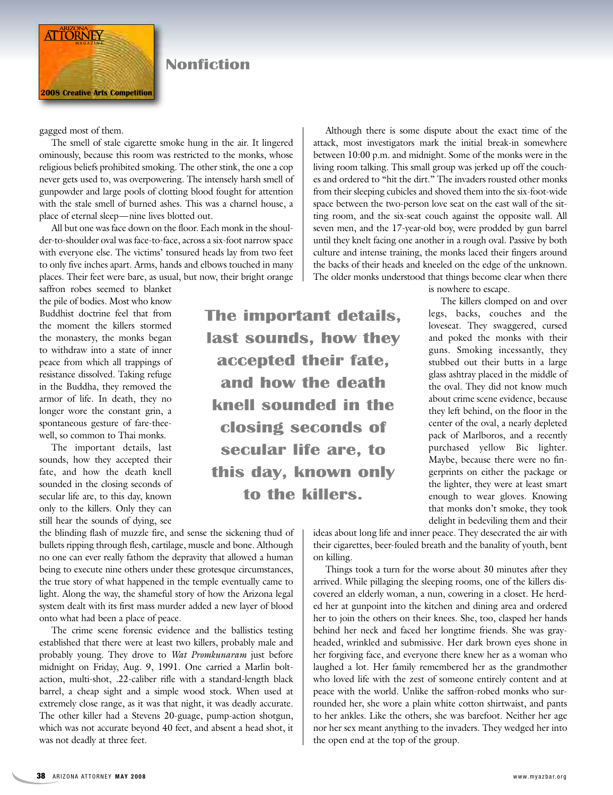

### **Nonfiction**

gagged most of them.

The smell of stale cigarette smoke hung in the air. It lingered ominously, because this room was restricted to the monks, whose religious beliefs prohibited smoking. The other stink, the one a cop never gets used to, was overpowering. The intensely harsh smell of gunpowder and large pools of clotting blood fought for attention with the stale smell of burned ashes. This was a charnel house, a place of eternal sleep—nine lives blotted out.

All but one was face down on the floor. Each monk in the shoulder-to-shoulder oval was face-to-face, across a six-foot narrow space with everyone else. The victims' tonsured heads lay from two feet to only five inches apart. Arms, hands and elbows touched in many places. Their feet were bare, as usual, but now, their bright orange

saffron robes seemed to blanket the pile of bodies. Most who know Buddhist doctrine feel that from the moment the killers stormed the monastery, the monks began to withdraw into a state of inner peace from which all trappings of resistance dissolved. Taking refuge in the Buddha, they removed the armor of life. In death, they no longer wore the constant grin, a spontaneous gesture of fare-theewell, so common to Thai monks.

The important details, last sounds, how they accepted their fate, and how the death knell sounded in the closing seconds of secular life are, to this day, known only to the killers. Only they can still hear the sounds of dying, see

The important details, last sounds, how they accepted their fate, and how the death knell sounded in the closing seconds of secular life are, to this day, known only to the killers.

between 10:00 p.m. and midnight. Some of the monks were in the living room talking. This small group was jerked up off the couches and ordered to "hit the dirt." The invaders rousted other monks from their sleeping cubicles and shoved them into the six-foot-wide space between the two-person love seat on the east wall of the sitting room, and the six-seat couch against the opposite wall. All seven men, and the 17-year-old boy, were prodded by gun barrel until they knelt facing one another in a rough oval. Passive by both culture and intense training, the monks laced their fingers around the backs of their heads and kneeled on the edge of the unknown. The older monks understood that things become clear when there

Although there is some dispute about the exact time of the attack, most investigators mark the initial break-in somewhere

is nowhere to escape.

The killers clomped on and over legs, backs, couches and the loveseat. They swaggered, cursed and poked the monks with their guns. Smoking incessantly, they stubbed out their butts in a large glass ashtray placed in the middle of the oval. They did not know much about crime scene evidence, because they left behind, on the floor in the center of the oval, a nearly depleted pack of Marlboros, and a recently purchased yellow Bic lighter. Maybe, because there were no fingerprints on either the package or the lighter, they were at least smart enough to wear gloves. Knowing that monks don't smoke, they took delight in bedeviling them and their

the blinding flash of muzzle fire, and sense the sickening thud of bullets ripping through flesh, cartilage, muscle and bone. Although no one can ever really fathom the depravity that allowed a human being to execute nine others under these grotesque circumstances, the true story of what happened in the temple eventually came to light. Along the way, the shameful story of how the Arizona legal system dealt with its first mass murder added a new layer of blood onto what had been a place of peace.

The crime scene forensic evidence and the ballistics testing established that there were at least two killers, probably male and probably young. They drove to *Wat Promkunaram* just before midnight on Friday, Aug. 9, 1991. One carried a Marlin boltaction, multi-shot, .22-caliber rifle with a standard-length black barrel, a cheap sight and a simple wood stock. When used at extremely close range, as it was that night, it was deadly accurate. The other killer had a Stevens 20-guage, pump-action shotgun, which was not accurate beyond 40 feet, and absent a head shot, it was not deadly at three feet.

ideas about long life and inner peace. They desecrated the air with their cigarettes, beer-fouled breath and the banality of youth, bent on killing.

Things took a turn for the worse about 30 minutes after they arrived. While pillaging the sleeping rooms, one of the killers discovered an elderly woman, a nun, cowering in a closet. He herded her at gunpoint into the kitchen and dining area and ordered her to join the others on their knees. She, too, clasped her hands behind her neck and faced her longtime friends. She was grayheaded, wrinkled and submissive. Her dark brown eyes shone in her forgiving face, and everyone there knew her as a woman who laughed a lot. Her family remembered her as the grandmother who loved life with the zest of someone entirely content and at peace with the world. Unlike the saffron-robed monks who surrounded her, she wore a plain white cotton shirtwaist, and pants to her ankles. Like the others, she was barefoot. Neither her age nor her sex meant anything to the invaders. They wedged her into the open end at the top of the group.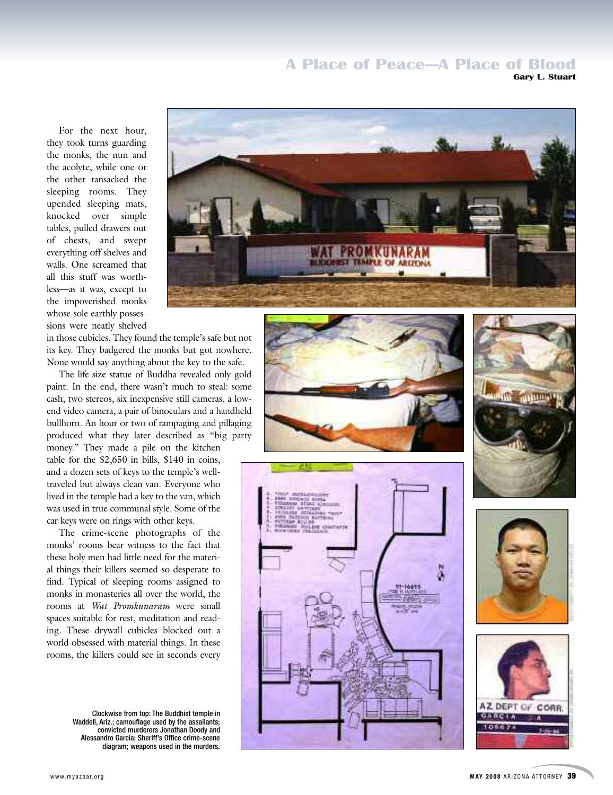#### **A Place of Peace–A Place of Blood Gary L. Stuart**

For the next hour, they took turns guarding the monks, the nun and the acolyte, while one or the other ransacked the sleeping rooms. They upended sleeping mats. knocked over simple tables, pulled drawers out of chests, and swept everything off shelves and walls. One screamed that all this stuff was worthless—as it was, except to the impoverished monks whose sole earthly possessions were neatly shelved



in those cubicles. They found the temple's safe but not its key. They badgered the monks but got nowhere. None would say anything about the key to the safe.

The life-size statue of Buddha revealed only gold paint. In the end, there wasn't much to steal: some cash, two stereos, six inexpensive still cameras, a lowend video camera, a pair of binoculars and a handheld bullhorn. An hour or two of rampaging and pillaging produced what they later described as "big party

money." They made a pile on the kitchen table for the  $$2.650$  in bills,  $$140$  in coins, and a dozen sets of keys to the temple's welltraveled but always clean van. Everyone who lived in the temple had a key to the van, which was used in true communal style. Some of the car keys were on rings with other keys.

The crime-scene photographs of the monks' rooms bear witness to the fact that these holy men had little need for the material things their killers seemed so desperate to find. Typical of sleeping rooms assigned to monks in monasteries all over the world, the rooms at *Wat Promkunaram* were small spaces suitable for rest, meditation and reading. These drywall cubicles blocked out a world obsessed with material things. In these rooms, the killers could see in seconds every

> Clockwise from top: The Buddhist temple in Waddell, Ariz.; camouflage used by the assailants; convicted murderers Jonathan Doody and Alessandro Garcia; Sheriff's Office crime-scene diagram; weapons used in the murders.